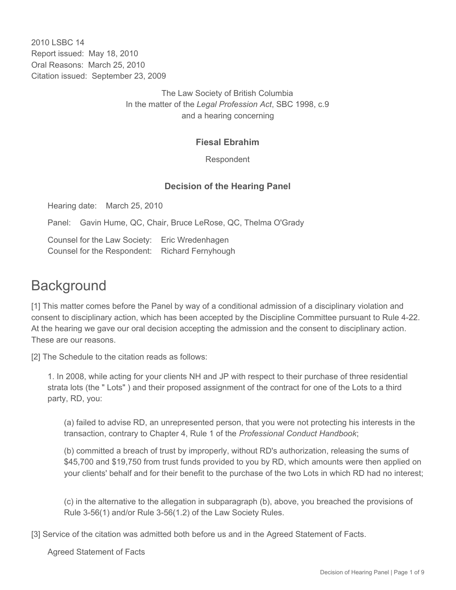2010 LSBC 14 Report issued: May 18, 2010 Oral Reasons: March 25, 2010 Citation issued: September 23, 2009

> The Law Society of British Columbia In the matter of the *Legal Profession Act*, SBC 1998, c.9 and a hearing concerning

### **Fiesal Ebrahim**

Respondent

## **Decision of the Hearing Panel**

Hearing date: March 25, 2010

Panel: Gavin Hume, QC, Chair, Bruce LeRose, QC, Thelma O'Grady

Counsel for the Law Society: Eric Wredenhagen Counsel for the Respondent: Richard Fernyhough

# **Background**

[1] This matter comes before the Panel by way of a conditional admission of a disciplinary violation and consent to disciplinary action, which has been accepted by the Discipline Committee pursuant to Rule 4-22. At the hearing we gave our oral decision accepting the admission and the consent to disciplinary action. These are our reasons.

[2] The Schedule to the citation reads as follows:

1. In 2008, while acting for your clients NH and JP with respect to their purchase of three residential strata lots (the " Lots" ) and their proposed assignment of the contract for one of the Lots to a third party, RD, you:

(a) failed to advise RD, an unrepresented person, that you were not protecting his interests in the transaction, contrary to Chapter 4, Rule 1 of the *Professional Conduct Handbook*;

(b) committed a breach of trust by improperly, without RD's authorization, releasing the sums of \$45,700 and \$19,750 from trust funds provided to you by RD, which amounts were then applied on your clients' behalf and for their benefit to the purchase of the two Lots in which RD had no interest;

(c) in the alternative to the allegation in subparagraph (b), above, you breached the provisions of Rule 3-56(1) and/or Rule 3-56(1.2) of the Law Society Rules.

[3] Service of the citation was admitted both before us and in the Agreed Statement of Facts.

Agreed Statement of Facts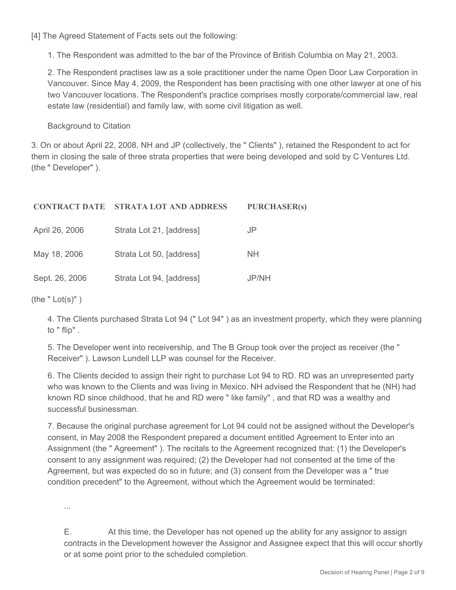[4] The Agreed Statement of Facts sets out the following:

1. The Respondent was admitted to the bar of the Province of British Columbia on May 21, 2003.

2. The Respondent practises law as a sole practitioner under the name Open Door Law Corporation in Vancouver. Since May 4, 2009, the Respondent has been practising with one other lawyer at one of his two Vancouver locations. The Respondent's practice comprises mostly corporate/commercial law, real estate law (residential) and family law, with some civil litigation as well.

Background to Citation

3. On or about April 22, 2008, NH and JP (collectively, the " Clients" ), retained the Respondent to act for them in closing the sale of three strata properties that were being developed and sold by C Ventures Ltd. (the " Developer" ).

| <b>CONTRACT DATE</b> | <b>STRATA LOT AND ADDRESS</b> | <b>PURCHASER(s)</b> |
|----------------------|-------------------------------|---------------------|
| April 26, 2006       | Strata Lot 21, [address]      | JP                  |
| May 18, 2006         | Strata Lot 50, [address]      | <b>NH</b>           |
| Sept. 26, 2006       | Strata Lot 94, [address]      | JP/NH               |

(the  $"$  Lot(s)" )

4. The Clients purchased Strata Lot 94 (" Lot 94" ) as an investment property, which they were planning to " flip" .

5. The Developer went into receivership, and The B Group took over the project as receiver (the " Receiver" ). Lawson Lundell LLP was counsel for the Receiver.

6. The Clients decided to assign their right to purchase Lot 94 to RD. RD was an unrepresented party who was known to the Clients and was living in Mexico. NH advised the Respondent that he (NH) had known RD since childhood, that he and RD were " like family" , and that RD was a wealthy and successful businessman.

7. Because the original purchase agreement for Lot 94 could not be assigned without the Developer's consent, in May 2008 the Respondent prepared a document entitled Agreement to Enter into an Assignment (the " Agreement" ). The recitals to the Agreement recognized that: (1) the Developer's consent to any assignment was required; (2) the Developer had not consented at the time of the Agreement, but was expected do so in future; and (3) consent from the Developer was a " true condition precedent" to the Agreement, without which the Agreement would be terminated:

...

E. At this time, the Developer has not opened up the ability for any assignor to assign contracts in the Development however the Assignor and Assignee expect that this will occur shortly or at some point prior to the scheduled completion.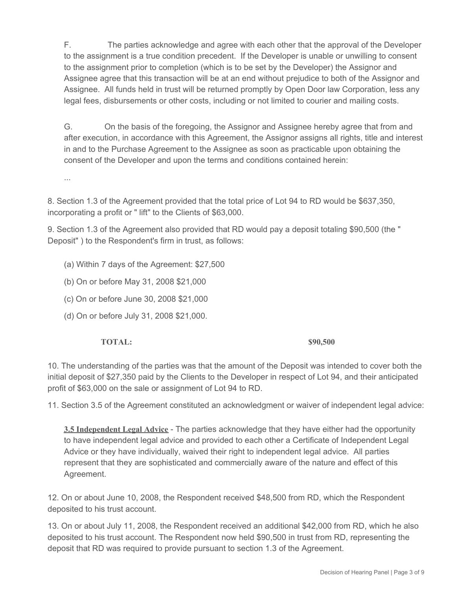F. The parties acknowledge and agree with each other that the approval of the Developer to the assignment is a true condition precedent. If the Developer is unable or unwilling to consent to the assignment prior to completion (which is to be set by the Developer) the Assignor and Assignee agree that this transaction will be at an end without prejudice to both of the Assignor and Assignee. All funds held in trust will be returned promptly by Open Door law Corporation, less any legal fees, disbursements or other costs, including or not limited to courier and mailing costs.

G. On the basis of the foregoing, the Assignor and Assignee hereby agree that from and after execution, in accordance with this Agreement, the Assignor assigns all rights, title and interest in and to the Purchase Agreement to the Assignee as soon as practicable upon obtaining the consent of the Developer and upon the terms and conditions contained herein:

...

8. Section 1.3 of the Agreement provided that the total price of Lot 94 to RD would be \$637,350, incorporating a profit or " lift" to the Clients of \$63,000.

9. Section 1.3 of the Agreement also provided that RD would pay a deposit totaling \$90,500 (the " Deposit" ) to the Respondent's firm in trust, as follows:

- (a) Within 7 days of the Agreement: \$27,500
- (b) On or before May 31, 2008 \$21,000
- (c) On or before June 30, 2008 \$21,000
- (d) On or before July 31, 2008 \$21,000.

### **TOTAL:** \$90,500

10. The understanding of the parties was that the amount of the Deposit was intended to cover both the initial deposit of \$27,350 paid by the Clients to the Developer in respect of Lot 94, and their anticipated profit of \$63,000 on the sale or assignment of Lot 94 to RD.

11. Section 3.5 of the Agreement constituted an acknowledgment or waiver of independent legal advice:

**3.5 Independent Legal Advice** - The parties acknowledge that they have either had the opportunity to have independent legal advice and provided to each other a Certificate of Independent Legal Advice or they have individually, waived their right to independent legal advice. All parties represent that they are sophisticated and commercially aware of the nature and effect of this Agreement.

12. On or about June 10, 2008, the Respondent received \$48,500 from RD, which the Respondent deposited to his trust account.

13. On or about July 11, 2008, the Respondent received an additional \$42,000 from RD, which he also deposited to his trust account. The Respondent now held \$90,500 in trust from RD, representing the deposit that RD was required to provide pursuant to section 1.3 of the Agreement.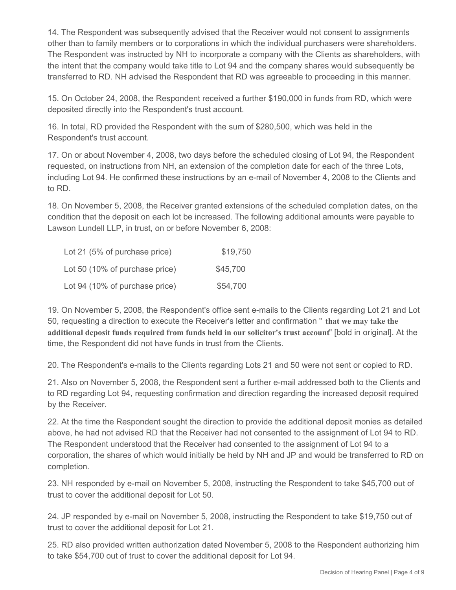14. The Respondent was subsequently advised that the Receiver would not consent to assignments other than to family members or to corporations in which the individual purchasers were shareholders. The Respondent was instructed by NH to incorporate a company with the Clients as shareholders, with the intent that the company would take title to Lot 94 and the company shares would subsequently be transferred to RD. NH advised the Respondent that RD was agreeable to proceeding in this manner.

15. On October 24, 2008, the Respondent received a further \$190,000 in funds from RD, which were deposited directly into the Respondent's trust account.

16. In total, RD provided the Respondent with the sum of \$280,500, which was held in the Respondent's trust account.

17. On or about November 4, 2008, two days before the scheduled closing of Lot 94, the Respondent requested, on instructions from NH, an extension of the completion date for each of the three Lots, including Lot 94. He confirmed these instructions by an e-mail of November 4, 2008 to the Clients and to RD.

18. On November 5, 2008, the Receiver granted extensions of the scheduled completion dates, on the condition that the deposit on each lot be increased. The following additional amounts were payable to Lawson Lundell LLP, in trust, on or before November 6, 2008:

| Lot 21 (5% of purchase price)  | \$19,750 |
|--------------------------------|----------|
| Lot 50 (10% of purchase price) | \$45,700 |
| Lot 94 (10% of purchase price) | \$54,700 |

19. On November 5, 2008, the Respondent's office sent e-mails to the Clients regarding Lot 21 and Lot 50, requesting a direction to execute the Receiver's letter and confirmation " **that we may take the additional deposit funds required from funds held in our solicitor's trust account**" [bold in original]. At the time, the Respondent did not have funds in trust from the Clients.

20. The Respondent's e-mails to the Clients regarding Lots 21 and 50 were not sent or copied to RD.

21. Also on November 5, 2008, the Respondent sent a further e-mail addressed both to the Clients and to RD regarding Lot 94, requesting confirmation and direction regarding the increased deposit required by the Receiver.

22. At the time the Respondent sought the direction to provide the additional deposit monies as detailed above, he had not advised RD that the Receiver had not consented to the assignment of Lot 94 to RD. The Respondent understood that the Receiver had consented to the assignment of Lot 94 to a corporation, the shares of which would initially be held by NH and JP and would be transferred to RD on completion.

23. NH responded by e-mail on November 5, 2008, instructing the Respondent to take \$45,700 out of trust to cover the additional deposit for Lot 50.

24. JP responded by e-mail on November 5, 2008, instructing the Respondent to take \$19,750 out of trust to cover the additional deposit for Lot 21.

25. RD also provided written authorization dated November 5, 2008 to the Respondent authorizing him to take \$54,700 out of trust to cover the additional deposit for Lot 94.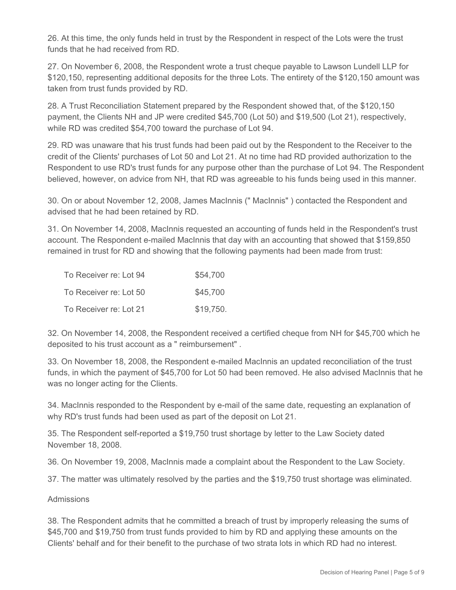26. At this time, the only funds held in trust by the Respondent in respect of the Lots were the trust funds that he had received from RD.

27. On November 6, 2008, the Respondent wrote a trust cheque payable to Lawson Lundell LLP for \$120,150, representing additional deposits for the three Lots. The entirety of the \$120,150 amount was taken from trust funds provided by RD.

28. A Trust Reconciliation Statement prepared by the Respondent showed that, of the \$120,150 payment, the Clients NH and JP were credited \$45,700 (Lot 50) and \$19,500 (Lot 21), respectively, while RD was credited \$54,700 toward the purchase of Lot 94.

29. RD was unaware that his trust funds had been paid out by the Respondent to the Receiver to the credit of the Clients' purchases of Lot 50 and Lot 21. At no time had RD provided authorization to the Respondent to use RD's trust funds for any purpose other than the purchase of Lot 94. The Respondent believed, however, on advice from NH, that RD was agreeable to his funds being used in this manner.

30. On or about November 12, 2008, James MacInnis (" MacInnis" ) contacted the Respondent and advised that he had been retained by RD.

31. On November 14, 2008, MacInnis requested an accounting of funds held in the Respondent's trust account. The Respondent e-mailed MacInnis that day with an accounting that showed that \$159,850 remained in trust for RD and showing that the following payments had been made from trust:

| To Receiver re: Lot 94 | \$54,700  |
|------------------------|-----------|
| To Receiver re: Lot 50 | \$45,700  |
| To Receiver re: Lot 21 | \$19,750. |

32. On November 14, 2008, the Respondent received a certified cheque from NH for \$45,700 which he deposited to his trust account as a " reimbursement" .

33. On November 18, 2008, the Respondent e-mailed MacInnis an updated reconciliation of the trust funds, in which the payment of \$45,700 for Lot 50 had been removed. He also advised MacInnis that he was no longer acting for the Clients.

34. MacInnis responded to the Respondent by e-mail of the same date, requesting an explanation of why RD's trust funds had been used as part of the deposit on Lot 21.

35. The Respondent self-reported a \$19,750 trust shortage by letter to the Law Society dated November 18, 2008.

36. On November 19, 2008, MacInnis made a complaint about the Respondent to the Law Society.

37. The matter was ultimately resolved by the parties and the \$19,750 trust shortage was eliminated.

### **Admissions**

38. The Respondent admits that he committed a breach of trust by improperly releasing the sums of \$45,700 and \$19,750 from trust funds provided to him by RD and applying these amounts on the Clients' behalf and for their benefit to the purchase of two strata lots in which RD had no interest.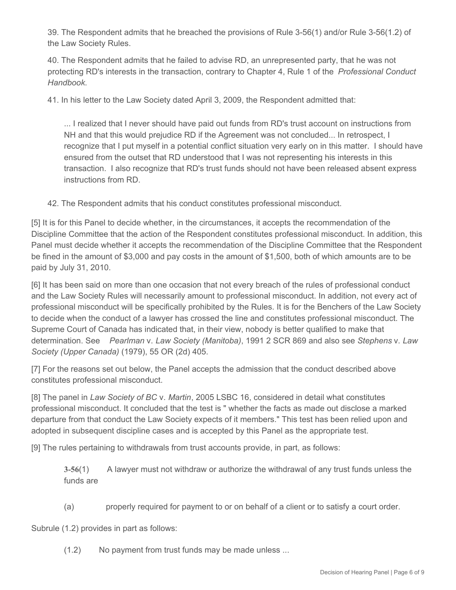39. The Respondent admits that he breached the provisions of Rule 3-56(1) and/or Rule 3-56(1.2) of the Law Society Rules.

40. The Respondent admits that he failed to advise RD, an unrepresented party, that he was not protecting RD's interests in the transaction, contrary to Chapter 4, Rule 1 of the *Professional Conduct Handbook*.

41. In his letter to the Law Society dated April 3, 2009, the Respondent admitted that:

... I realized that I never should have paid out funds from RD's trust account on instructions from NH and that this would prejudice RD if the Agreement was not concluded... In retrospect, I recognize that I put myself in a potential conflict situation very early on in this matter. I should have ensured from the outset that RD understood that I was not representing his interests in this transaction. I also recognize that RD's trust funds should not have been released absent express instructions from RD.

42. The Respondent admits that his conduct constitutes professional misconduct.

[5] It is for this Panel to decide whether, in the circumstances, it accepts the recommendation of the Discipline Committee that the action of the Respondent constitutes professional misconduct. In addition, this Panel must decide whether it accepts the recommendation of the Discipline Committee that the Respondent be fined in the amount of \$3,000 and pay costs in the amount of \$1,500, both of which amounts are to be paid by July 31, 2010.

[6] It has been said on more than one occasion that not every breach of the rules of professional conduct and the Law Society Rules will necessarily amount to professional misconduct. In addition, not every act of professional misconduct will be specifically prohibited by the Rules. It is for the Benchers of the Law Society to decide when the conduct of a lawyer has crossed the line and constitutes professional misconduct. The Supreme Court of Canada has indicated that, in their view, nobody is better qualified to make that determination. See *Pearlman* v. *Law Society (Manitoba)*, 1991 2 SCR 869 and also see *Stephens* v. *Law Society (Upper Canada)* (1979), 55 OR (2d) 405.

[7] For the reasons set out below, the Panel accepts the admission that the conduct described above constitutes professional misconduct.

[8] The panel in *Law Society of BC* v. *Martin*, 2005 LSBC 16, considered in detail what constitutes professional misconduct. It concluded that the test is " whether the facts as made out disclose a marked departure from that conduct the Law Society expects of it members." This test has been relied upon and adopted in subsequent discipline cases and is accepted by this Panel as the appropriate test.

[9] The rules pertaining to withdrawals from trust accounts provide, in part, as follows:

**3-56**(1) A lawyer must not withdraw or authorize the withdrawal of any trust funds unless the funds are

(a) properly required for payment to or on behalf of a client or to satisfy a court order.

Subrule (1.2) provides in part as follows:

(1.2) No payment from trust funds may be made unless ...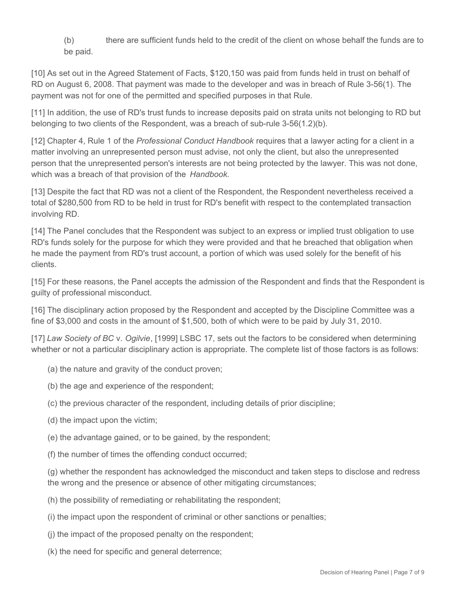(b) there are sufficient funds held to the credit of the client on whose behalf the funds are to be paid.

[10] As set out in the Agreed Statement of Facts, \$120,150 was paid from funds held in trust on behalf of RD on August 6, 2008. That payment was made to the developer and was in breach of Rule 3-56(1). The payment was not for one of the permitted and specified purposes in that Rule.

[11] In addition, the use of RD's trust funds to increase deposits paid on strata units not belonging to RD but belonging to two clients of the Respondent, was a breach of sub-rule 3-56(1.2)(b).

[12] Chapter 4, Rule 1 of the *Professional Conduct Handbook* requires that a lawyer acting for a client in a matter involving an unrepresented person must advise, not only the client, but also the unrepresented person that the unrepresented person's interests are not being protected by the lawyer. This was not done, which was a breach of that provision of the *Handbook*.

[13] Despite the fact that RD was not a client of the Respondent, the Respondent nevertheless received a total of \$280,500 from RD to be held in trust for RD's benefit with respect to the contemplated transaction involving RD.

[14] The Panel concludes that the Respondent was subject to an express or implied trust obligation to use RD's funds solely for the purpose for which they were provided and that he breached that obligation when he made the payment from RD's trust account, a portion of which was used solely for the benefit of his clients.

[15] For these reasons, the Panel accepts the admission of the Respondent and finds that the Respondent is guilty of professional misconduct.

[16] The disciplinary action proposed by the Respondent and accepted by the Discipline Committee was a fine of \$3,000 and costs in the amount of \$1,500, both of which were to be paid by July 31, 2010.

[17] *Law Society of BC* v. *Ogilvie*, [1999] LSBC 17, sets out the factors to be considered when determining whether or not a particular disciplinary action is appropriate. The complete list of those factors is as follows:

- (a) the nature and gravity of the conduct proven;
- (b) the age and experience of the respondent;
- (c) the previous character of the respondent, including details of prior discipline;
- (d) the impact upon the victim;
- (e) the advantage gained, or to be gained, by the respondent;
- (f) the number of times the offending conduct occurred;

(g) whether the respondent has acknowledged the misconduct and taken steps to disclose and redress the wrong and the presence or absence of other mitigating circumstances;

- (h) the possibility of remediating or rehabilitating the respondent;
- (i) the impact upon the respondent of criminal or other sanctions or penalties;
- (j) the impact of the proposed penalty on the respondent;
- (k) the need for specific and general deterrence;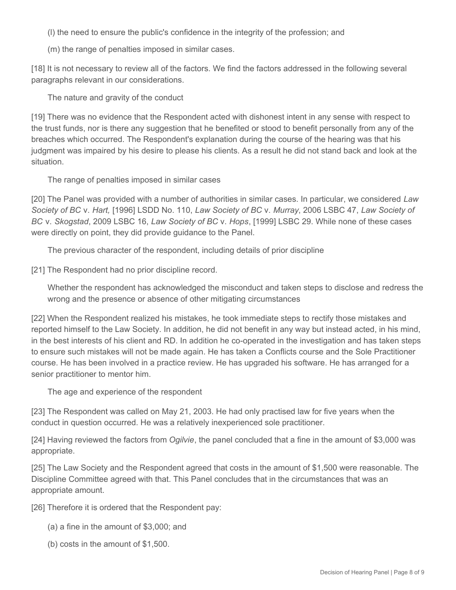(l) the need to ensure the public's confidence in the integrity of the profession; and

(m) the range of penalties imposed in similar cases.

[18] It is not necessary to review all of the factors. We find the factors addressed in the following several paragraphs relevant in our considerations.

The nature and gravity of the conduct

[19] There was no evidence that the Respondent acted with dishonest intent in any sense with respect to the trust funds, nor is there any suggestion that he benefited or stood to benefit personally from any of the breaches which occurred. The Respondent's explanation during the course of the hearing was that his judgment was impaired by his desire to please his clients. As a result he did not stand back and look at the situation.

The range of penalties imposed in similar cases

[20] The Panel was provided with a number of authorities in similar cases. In particular, we considered *Law Society of BC* v. *Hart,* [1996] LSDD No. 110, *Law Society of BC* v. *Murray*, 2006 LSBC 47, *Law Society of BC* v. *Skogstad*, 2009 LSBC 16, *Law Society of BC* v. *Hops*, [1999] LSBC 29. While none of these cases were directly on point, they did provide guidance to the Panel.

The previous character of the respondent, including details of prior discipline

[21] The Respondent had no prior discipline record.

Whether the respondent has acknowledged the misconduct and taken steps to disclose and redress the wrong and the presence or absence of other mitigating circumstances

[22] When the Respondent realized his mistakes, he took immediate steps to rectify those mistakes and reported himself to the Law Society. In addition, he did not benefit in any way but instead acted, in his mind, in the best interests of his client and RD. In addition he co-operated in the investigation and has taken steps to ensure such mistakes will not be made again. He has taken a Conflicts course and the Sole Practitioner course. He has been involved in a practice review. He has upgraded his software. He has arranged for a senior practitioner to mentor him.

The age and experience of the respondent

[23] The Respondent was called on May 21, 2003. He had only practised law for five years when the conduct in question occurred. He was a relatively inexperienced sole practitioner.

[24] Having reviewed the factors from *Ogilvie*, the panel concluded that a fine in the amount of \$3,000 was appropriate.

[25] The Law Society and the Respondent agreed that costs in the amount of \$1,500 were reasonable. The Discipline Committee agreed with that. This Panel concludes that in the circumstances that was an appropriate amount.

[26] Therefore it is ordered that the Respondent pay:

- (a) a fine in the amount of \$3,000; and
- (b) costs in the amount of \$1,500.